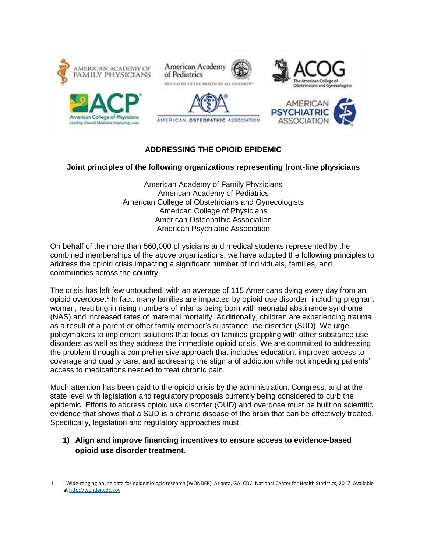

# **ADDRESSING THE OPIOID EPIDEMIC**

#### **Joint principles of the following organizations representing front-line physicians**

American Academy of Family Physicians American Academy of Pediatrics American College of Obstetricians and Gynecologists American College of Physicians American Osteopathic Association American Psychiatric Association

On behalf of the more than 560,000 physicians and medical students represented by the combined memberships of the above organizations, we have adopted the following principles to address the opioid crisis impacting a significant number of individuals, families, and communities across the country.

The crisis has left few untouched, with an average of 115 Americans dying every day from an opioid overdose.<sup>1</sup> In fact, many families are impacted by opioid use disorder, including pregnant women, resulting in rising numbers of infants being born with neonatal abstinence syndrome (NAS) and increased rates of maternal mortality. Additionally, children are experiencing trauma as a result of a parent or other family member's substance use disorder (SUD). We urge policymakers to implement solutions that focus on families grappling with other substance use disorders as well as they address the immediate opioid crisis. We are committed to addressing the problem through a comprehensive approach that includes education, improved access to coverage and quality care, and addressing the stigma of addiction while not impeding patients' access to medications needed to treat chronic pain.

Much attention has been paid to the opioid crisis by the administration, Congress, and at the state level with legislation and regulatory proposals currently being considered to curb the epidemic. Efforts to address opioid use disorder (OUD) and overdose must be built on scientific evidence that shows that a SUD is a chronic disease of the brain that can be effectively treated. Specifically, legislation and regulatory approaches must:

## **1) Align and improve financing incentives to ensure access to evidence-based opioid use disorder treatment.**

 $\overline{a}$ 

<sup>1.</sup> <sup>1</sup> Wide-ranging online data for epidemiologic research (WONDER). Atlanta, GA: CDC, National Center for Health Statistics; 2017. Available at [http://wonder.cdc.gov.](http://wonder.cdc.gov/)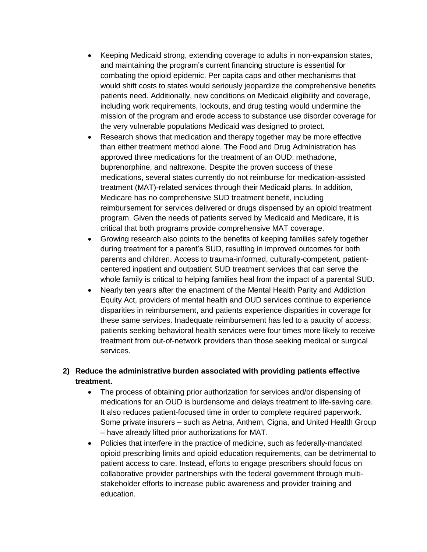- Keeping Medicaid strong, extending coverage to adults in non-expansion states, and maintaining the program's current financing structure is essential for combating the opioid epidemic. Per capita caps and other mechanisms that would shift costs to states would seriously jeopardize the comprehensive benefits patients need. Additionally, new conditions on Medicaid eligibility and coverage, including work requirements, lockouts, and drug testing would undermine the mission of the program and erode access to substance use disorder coverage for the very vulnerable populations Medicaid was designed to protect.
- Research shows that medication and therapy together may be more effective than either treatment method alone. The Food and Drug Administration has approved three medications for the treatment of an OUD: methadone, buprenorphine, and naltrexone. Despite the proven success of these medications, several states currently do not reimburse for medication-assisted treatment (MAT)-related services through their Medicaid plans. In addition, Medicare has no comprehensive SUD treatment benefit, including reimbursement for services delivered or drugs dispensed by an opioid treatment program. Given the needs of patients served by Medicaid and Medicare, it is critical that both programs provide comprehensive MAT coverage.
- Growing research also points to the benefits of keeping families safely together during treatment for a parent's SUD, resulting in improved outcomes for both parents and children. Access to trauma-informed, culturally-competent, patientcentered inpatient and outpatient SUD treatment services that can serve the whole family is critical to helping families heal from the impact of a parental SUD.
- Nearly ten years after the enactment of the Mental Health Parity and Addiction Equity Act, providers of mental health and OUD services continue to experience disparities in reimbursement, and patients experience disparities in coverage for these same services. Inadequate reimbursement has led to a paucity of access; patients seeking behavioral health services were four times more likely to receive treatment from out-of-network providers than those seeking medical or surgical services.

# **2) Reduce the administrative burden associated with providing patients effective treatment.**

- The process of obtaining prior authorization for services and/or dispensing of medications for an OUD is burdensome and delays treatment to life-saving care. It also reduces patient-focused time in order to complete required paperwork. Some private insurers – such as Aetna, Anthem, Cigna, and United Health Group – have already lifted prior authorizations for MAT.
- Policies that interfere in the practice of medicine, such as federally-mandated opioid prescribing limits and opioid education requirements, can be detrimental to patient access to care. Instead, efforts to engage prescribers should focus on collaborative provider partnerships with the federal government through multistakeholder efforts to increase public awareness and provider training and education.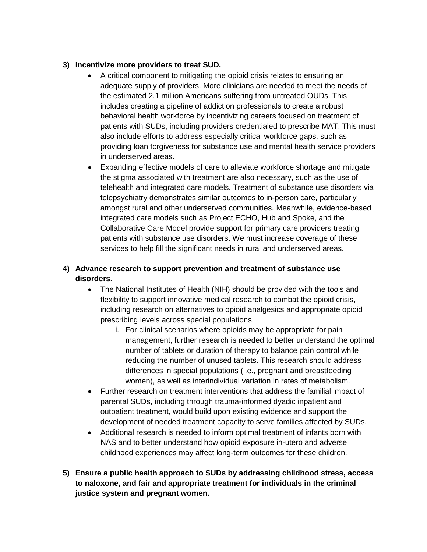#### **3) Incentivize more providers to treat SUD.**

- A critical component to mitigating the opioid crisis relates to ensuring an adequate supply of providers. More clinicians are needed to meet the needs of the estimated 2.1 million Americans suffering from untreated OUDs. This includes creating a pipeline of addiction professionals to create a robust behavioral health workforce by incentivizing careers focused on treatment of patients with SUDs, including providers credentialed to prescribe MAT. This must also include efforts to address especially critical workforce gaps, such as providing loan forgiveness for substance use and mental health service providers in underserved areas.
- Expanding effective models of care to alleviate workforce shortage and mitigate the stigma associated with treatment are also necessary, such as the use of telehealth and integrated care models. Treatment of substance use disorders via telepsychiatry demonstrates similar outcomes to in-person care, particularly amongst rural and other underserved communities. Meanwhile, evidence-based integrated care models such as Project ECHO, Hub and Spoke, and the Collaborative Care Model provide support for primary care providers treating patients with substance use disorders. We must increase coverage of these services to help fill the significant needs in rural and underserved areas.

# **4) Advance research to support prevention and treatment of substance use disorders.**

- The National Institutes of Health (NIH) should be provided with the tools and flexibility to support innovative medical research to combat the opioid crisis, including research on alternatives to opioid analgesics and appropriate opioid prescribing levels across special populations.
	- i. For clinical scenarios where opioids may be appropriate for pain management, further research is needed to better understand the optimal number of tablets or duration of therapy to balance pain control while reducing the number of unused tablets. This research should address differences in special populations (i.e., pregnant and breastfeeding women), as well as interindividual variation in rates of metabolism.
- Further research on treatment interventions that address the familial impact of parental SUDs, including through trauma-informed dyadic inpatient and outpatient treatment, would build upon existing evidence and support the development of needed treatment capacity to serve families affected by SUDs.
- Additional research is needed to inform optimal treatment of infants born with NAS and to better understand how opioid exposure in-utero and adverse childhood experiences may affect long-term outcomes for these children.
- **5) Ensure a public health approach to SUDs by addressing childhood stress, access to naloxone, and fair and appropriate treatment for individuals in the criminal justice system and pregnant women.**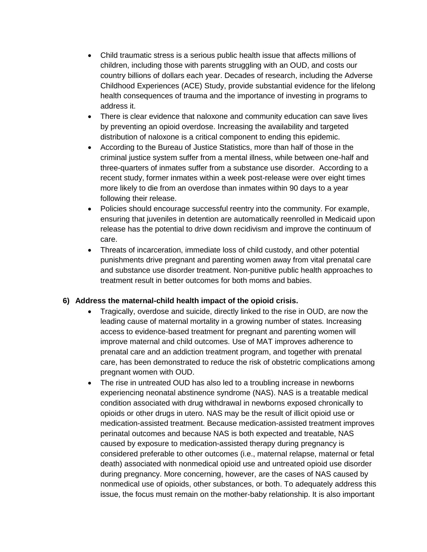- Child traumatic stress is a serious public health issue that affects millions of children, including those with parents struggling with an OUD, and costs our country billions of dollars each year. Decades of research, including the Adverse Childhood Experiences (ACE) Study, provide substantial evidence for the lifelong health consequences of trauma and the importance of investing in programs to address it.
- There is clear evidence that naloxone and community education can save lives by preventing an opioid overdose. Increasing the availability and targeted distribution of naloxone is a critical component to ending this epidemic.
- According to the Bureau of Justice Statistics, more than half of those in the criminal justice system suffer from a mental illness, while between one-half and three-quarters of inmates suffer from a substance use disorder. According to a recent study, former inmates within a week post-release were over eight times more likely to die from an overdose than inmates within 90 days to a year following their release.
- Policies should encourage successful reentry into the community. For example, ensuring that juveniles in detention are automatically reenrolled in Medicaid upon release has the potential to drive down recidivism and improve the continuum of care.
- Threats of incarceration, immediate loss of child custody, and other potential punishments drive pregnant and parenting women away from vital prenatal care and substance use disorder treatment. Non-punitive public health approaches to treatment result in better outcomes for both moms and babies.

## **6) Address the maternal-child health impact of the opioid crisis.**

- Tragically, overdose and suicide, directly linked to the rise in OUD, are now the leading cause of maternal mortality in a growing number of states. Increasing access to evidence-based treatment for pregnant and parenting women will improve maternal and child outcomes. Use of MAT improves adherence to prenatal care and an addiction treatment program, and together with prenatal care, has been demonstrated to reduce the risk of obstetric complications among pregnant women with OUD.
- The rise in untreated OUD has also led to a troubling increase in newborns experiencing neonatal abstinence syndrome (NAS). NAS is a treatable medical condition associated with drug withdrawal in newborns exposed chronically to opioids or other drugs in utero. NAS may be the result of illicit opioid use or medication-assisted treatment. Because medication-assisted treatment improves perinatal outcomes and because NAS is both expected and treatable, NAS caused by exposure to medication-assisted therapy during pregnancy is considered preferable to other outcomes (i.e., maternal relapse, maternal or fetal death) associated with nonmedical opioid use and untreated opioid use disorder during pregnancy. More concerning, however, are the cases of NAS caused by nonmedical use of opioids, other substances, or both. To adequately address this issue, the focus must remain on the mother-baby relationship. It is also important